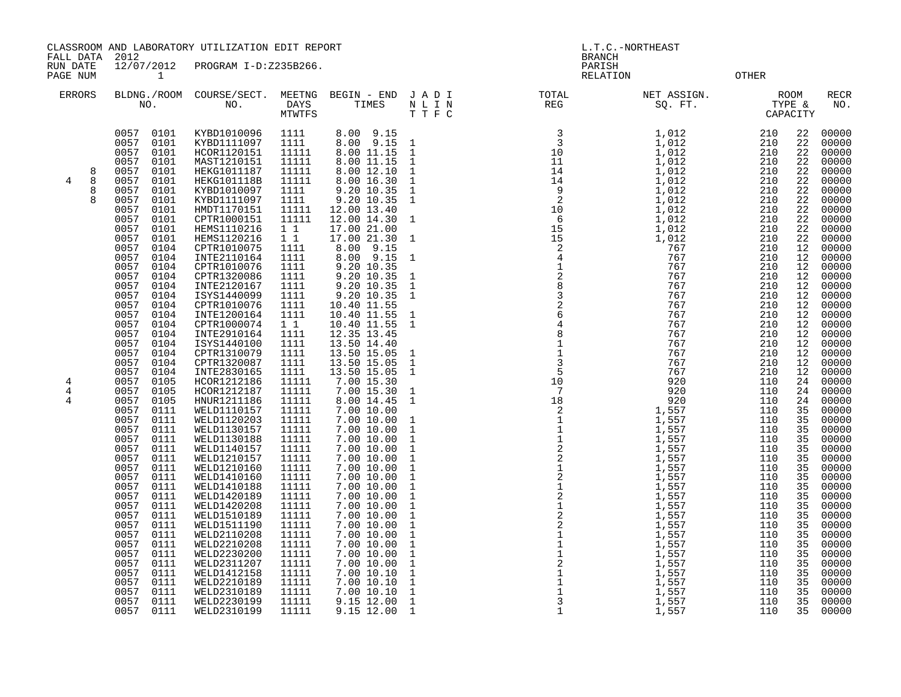CLASSROOM AND LABORATORY UTILIZATION EDIT REPORT AND REPORT THE L.T.C.-NORTHEAST

FALL DATA 2012 BRANCH

RUN DATE 12/07/2012 PROGRAM I-D:Z235B266.<br>PAGENUM 1 PAGE NUM 1 RELATION OTHER

| <b>ERRORS</b><br>NO.                                                                                                                                                                                                                                                                                                             | BLDNG./ROOM COURSE/SECT.<br>NO.                                                                                                                                                                                                                                                                                                                                                                                                                                                                                                                                                                                                                                                                                                                                                                                                                                                 | DAYS<br><b>MTWTFS</b>                                                                                                                                                                                                                                                                                                             | MEETNG BEGIN - END JADI<br>TIMES                                                                                                                                                                                                                                                                                                                                                                                                                                                                                                                                              | N L I N<br>TTFC                                                                                                                                                                                                                                                                                                                                                                                                                                                                                    | and a straightfully and a straightfully.<br>The contract of the contract of the contract of the contract of the contract of the contract of the contract o<br>The contract of the contract of the contract of the contract of the co<br>TOTAL<br>REG | NET ASSIGN.<br>ET ASSIGN.<br>SQ. FT.<br>CAPACITY                                                     |                                                                                                                                                                                                                                                                 |                                                                                                                                                                                                                            | RECR<br>NO.                                                                                                                                                                                                                                                                                                                               |
|----------------------------------------------------------------------------------------------------------------------------------------------------------------------------------------------------------------------------------------------------------------------------------------------------------------------------------|---------------------------------------------------------------------------------------------------------------------------------------------------------------------------------------------------------------------------------------------------------------------------------------------------------------------------------------------------------------------------------------------------------------------------------------------------------------------------------------------------------------------------------------------------------------------------------------------------------------------------------------------------------------------------------------------------------------------------------------------------------------------------------------------------------------------------------------------------------------------------------|-----------------------------------------------------------------------------------------------------------------------------------------------------------------------------------------------------------------------------------------------------------------------------------------------------------------------------------|-------------------------------------------------------------------------------------------------------------------------------------------------------------------------------------------------------------------------------------------------------------------------------------------------------------------------------------------------------------------------------------------------------------------------------------------------------------------------------------------------------------------------------------------------------------------------------|----------------------------------------------------------------------------------------------------------------------------------------------------------------------------------------------------------------------------------------------------------------------------------------------------------------------------------------------------------------------------------------------------------------------------------------------------------------------------------------------------|------------------------------------------------------------------------------------------------------------------------------------------------------------------------------------------------------------------------------------------------------|------------------------------------------------------------------------------------------------------|-----------------------------------------------------------------------------------------------------------------------------------------------------------------------------------------------------------------------------------------------------------------|----------------------------------------------------------------------------------------------------------------------------------------------------------------------------------------------------------------------------|-------------------------------------------------------------------------------------------------------------------------------------------------------------------------------------------------------------------------------------------------------------------------------------------------------------------------------------------|
| 0057<br>0057<br>0057<br>0057<br>0057<br>8<br>4<br>8<br>0057<br>8<br>0057<br>8<br>0057<br>0057<br>0057<br>0057<br>0057<br>0057                                                                                                                                                                                                    | 0101<br>KYBD1010096<br>0101<br>KYBD1111097<br>0101<br>HCOR1120151<br>0101<br>MAST1210151<br>0101<br>HEKG1011187<br>0101<br><b>HEKG101118B</b><br>0101<br>KYBD1010097<br>KYBD1111097<br>0101<br>0101<br>HMDT1170151<br>0101<br>CPTR1000151<br>HEMS1110216<br>0101<br>0101<br>HEMS1120216<br>0104<br>CPTR1010075                                                                                                                                                                                                                                                                                                                                                                                                                                                                                                                                                                  | 1111<br>1111<br>11111<br>11111<br>11111<br>11111<br>1111<br>1111<br>11111<br>11111<br>11<br>$1\quad1$<br>1111                                                                                                                                                                                                                     | 8.00 9.15<br>8.00 9.15<br>8.00 11.15<br>8.00 11.15<br>8.00 12.10<br>8.00 16.30<br>9.20 10.35<br>9.20 10.35<br>12.00 13.40<br>12.00 14.30<br>17.00 21.00<br>17.00 21.30<br>9.15<br>8.00                                                                                                                                                                                                                                                                                                                                                                                        | $\overline{1}$<br>$\overline{\phantom{a}}$<br>$\overline{\phantom{a}}$<br>$\mathbf 1$<br>$\mathbf{1}$<br>$\mathbf{1}$<br>$\overline{1}$<br>$\overline{1}$<br>$\overline{1}$                                                                                                                                                                                                                                                                                                                        |                                                                                                                                                                                                                                                      | 1,012<br>1,012<br>1,012<br>1,012<br>1,012<br>1,012<br>1,012<br>1,012<br>1,012<br>1,012<br>767<br>767 | 210<br>210<br>210<br>210<br>210<br>210<br>210<br>210<br>210<br>210<br>210<br>210<br>210                                                                                                                                                                         | 22<br>22<br>22<br>22<br>22<br>22<br>22<br>22<br>22<br>22<br>22<br>22<br>12                                                                                                                                                 | 00000<br>00000<br>00000<br>00000<br>00000<br>00000<br>00000<br>00000<br>00000<br>00000<br>00000<br>00000<br>00000                                                                                                                                                                                                                         |
| 0057<br>0057<br>0057<br>0057<br>0057<br>0057<br>0057<br>0057<br>0057<br>0057<br>0057<br>0057<br>0057<br>0057<br>$\overline{4}$<br>0057<br>4<br>0057<br>4<br>0057<br>0057<br>0057<br>0057<br>0057<br>0057<br>0057<br>0057<br>0057<br>0057<br>0057<br>0057<br>0057<br>0057<br>0057<br>0057<br>0057<br>0057<br>0057<br>0057<br>0057 | INTE2110164<br>0104<br>0104<br>CPTR1010076<br>CPTR1320086<br>0104<br>INTE2120167<br>0104<br>ISYS1440099<br>0104<br>0104<br>CPTR1010076<br>INTE1200164<br>0104<br>CPTR1000074<br>0104<br>0104<br>INTE2910164<br>ISYS1440100<br>0104<br>0104<br>CPTR1310079<br>CPTR1320087<br>0104<br>0104<br>INTE2830165<br>HCOR1212186<br>0105<br>HCOR1212187<br>0105<br>0105<br>HNUR1211186<br>WELD1110157<br>0111<br>WELD1120203<br>0111<br>0111<br>WELD1130157<br>0111<br>WELD1130188<br>0111<br>WELD1140157<br>0111<br>WELD1210157<br>WELD1210160<br>0111<br>0111<br>WELD1410160<br>0111<br>WELD1410188<br>0111<br>WELD1420189<br>0111<br>WELD1420208<br>0111<br>WELD1510189<br>WELD1511190<br>0111<br>0111<br>WELD2110208<br>0111<br>WELD2210208<br>0111<br>WELD2230200<br>0111<br>WELD2311207<br>0111<br>WELD1412158<br>WELD2210189<br>0111<br>WELD2310189<br>0111<br>0111<br>WELD2230199 | 1111<br>1111<br>1111<br>1111<br>1111<br>1111<br>1111<br>$1\quad1$<br>1111<br>1111<br>1111<br>1111<br>1111<br>11111<br>11111<br>11111<br>11111<br>11111<br>11111<br>11111<br>11111<br>11111<br>11111<br>11111<br>11111<br>11111<br>11111<br>11111<br>11111<br>11111<br>11111<br>11111<br>11111<br>11111<br>11111<br>11111<br>11111 | 8.00 9.15<br>9.20 10.35<br>9.20 10.35<br>9.20 10.35<br>9.20 10.35<br>$\begin{array}{rr} 10.40 & 11.55 \\ 10.40 & 11.55 \end{array}$<br>10.40 11.55<br>12.35 13.45<br>13.50 14.40<br>13.50 15.05<br>13.50 15.05<br>13.50 15.05<br>7.00 15.30<br>7.00 15.30<br>8.00 14.45<br>7.00 10.00<br>7.00 10.00<br>7.00 10.00<br>7.00 10.00<br>7.00 10.00<br>7.00 10.00<br>7.00 10.00<br>7.00 10.00<br>7.00 10.00<br>7.00 10.00<br>7.00 10.00<br>7.00 10.00<br>7.00 10.00<br>7.00 10.00<br>7.00 10.00<br>7.00 10.00<br>7.00 10.00<br>7.00 10.10<br>7.00 10.10<br>7.00 10.10<br>9.15 12.00 | $\overline{1}$<br>$\mathbf{1}$<br>$\mathbf 1$<br>$\mathbf{1}$<br>$\overline{\phantom{0}}$<br>1<br>$\mathbf{1}$<br>$\mathbf 1$<br>$\mathbf{1}$<br>$\mathbf{1}$<br>$\mathbf{1}$<br>$\mathbf{1}$<br>$\mathbf{1}$<br>$\mathbf{1}$<br>$\mathbf{1}$<br>$\mathbf{1}$<br>$\mathbf{1}$<br>$\mathbf{1}$<br>$\mathbf{1}$<br>$\mathbf{1}$<br>$\mathbf{1}$<br>$\mathbf{1}$<br>$\mathbf{1}$<br>$\mathbf{1}$<br>$\mathbf{1}$<br>$\mathbf{1}$<br>$\mathbf{1}$<br>$\mathbf{1}$<br>$\,1\,$<br>$\,1\,$<br>$\mathbf 1$ |                                                                                                                                                                                                                                                      |                                                                                                      | 210<br>210<br>210<br>210<br>210<br>210<br>210<br>210<br>210<br>210<br>210<br>210<br>210<br>110<br>110<br>110<br>110<br>110<br>110<br>110<br>110<br>110<br>110<br>110<br>110<br>110<br>110<br>110<br>110<br>110<br>110<br>110<br>110<br>110<br>110<br>110<br>110 | 12<br>12<br>12<br>12<br>12<br>12<br>12<br>12<br>12<br>12<br>12<br>12<br>12<br>24<br>24<br>24<br>35<br>35<br>35<br>35<br>35<br>35<br>35<br>35<br>35<br>35<br>35<br>35<br>35<br>35<br>35<br>35<br>35<br>35<br>35<br>35<br>35 | 00000<br>00000<br>00000<br>00000<br>00000<br>00000<br>00000<br>00000<br>00000<br>00000<br>00000<br>00000<br>00000<br>00000<br>00000<br>00000<br>00000<br>00000<br>00000<br>00000<br>00000<br>00000<br>00000<br>00000<br>00000<br>00000<br>00000<br>00000<br>00000<br>00000<br>00000<br>00000<br>00000<br>00000<br>00000<br>00000<br>00000 |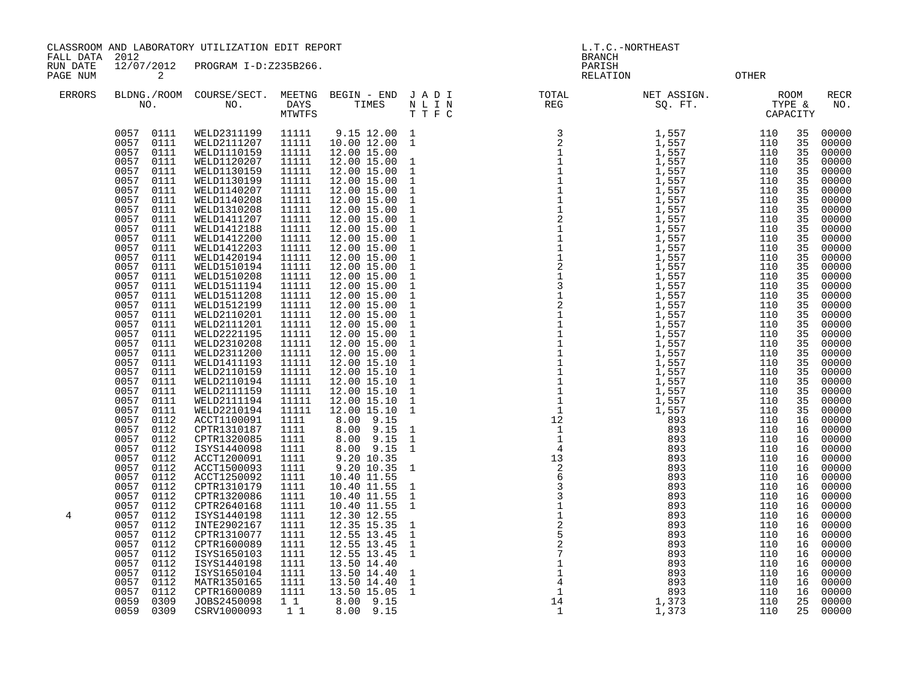CLASSROOM AND LABORATORY UTILIZATION EDIT REPORT AND REPORT STATES AND L.T.C.-NORTHEAST

FALL DATA 2012 BRANCH

RUN DATE 12/07/2012 PROGRAM I-D:Z235B266.<br>PAGENUM 2 PAGE NUM 2 RELATION OTHER

| <b>ERRORS</b> | NO.                          | BLDNG./ROOM COURSE/SECT.<br>NO. | DAYS<br>MTWTFS | MEETNG BEGIN - END<br>TIMES | JADI<br>N L I N<br>T T F C | TOTAL<br>$\begin{array}{c}\n1 \vee \ldots \\ \text{REG}\n\end{array}$<br>T N C<br>20 FT<br>1 1,557<br>1 1,557<br>1 1,557<br>1 1,557<br>1 1,557<br>1 1,557<br>1 1,557<br>1 1,557<br>1 1,5557<br>1 1,5557<br>1 1,5557<br>1 1,5557<br>1 1,5557<br>1 1,5557<br>1 1,5557<br>1 1,5557<br>1 1,5557<br>1 1,5557<br>1 1,5557<br>1 1,5557<br>1 1,5557<br>1 1,55 | NET ASSIGN.<br>SQ. FT. TYPE &<br>CAPACITY |            |          | <b>RECR</b><br>NO. |
|---------------|------------------------------|---------------------------------|----------------|-----------------------------|----------------------------|-------------------------------------------------------------------------------------------------------------------------------------------------------------------------------------------------------------------------------------------------------------------------------------------------------------------------------------------------------|-------------------------------------------|------------|----------|--------------------|
|               | 0111<br>0057                 | WELD2311199                     | 11111          | 9.15 12.00                  | $\mathbf{1}$               |                                                                                                                                                                                                                                                                                                                                                       |                                           | 110        | 35       | 00000              |
|               | 0111<br>0057                 | WELD2111207                     | 11111          | 10.00 12.00                 | $\mathbf{1}$               |                                                                                                                                                                                                                                                                                                                                                       |                                           | 110        | 35       | 00000              |
|               | 0057<br>0111                 | WELD1110159                     | 11111          | 12.00 15.00                 |                            |                                                                                                                                                                                                                                                                                                                                                       |                                           | 110        | 35       | 00000              |
|               | 0057<br>0111                 | WELD1120207                     | 11111          | 12.00 15.00                 | $\mathbf{1}$               |                                                                                                                                                                                                                                                                                                                                                       |                                           | 110        | 35       | 00000              |
|               | 0057<br>0111                 | WELD1130159                     | 11111          | 12.00 15.00                 | $\mathbf{1}$               |                                                                                                                                                                                                                                                                                                                                                       |                                           | 110        | 35       | 00000              |
|               | 0057<br>0111                 | WELD1130199                     | 11111          | 12.00 15.00                 | $\mathbf{1}$               |                                                                                                                                                                                                                                                                                                                                                       |                                           | 110        | 35       | 00000              |
|               | 0057<br>0111                 | WELD1140207                     | 11111          | 12.00 15.00                 | $\mathbf{1}$               |                                                                                                                                                                                                                                                                                                                                                       |                                           | 110        | 35       | 00000              |
|               | 0057<br>0111                 | WELD1140208                     | 11111          | 12.00 15.00                 | $1\,$                      |                                                                                                                                                                                                                                                                                                                                                       |                                           | 110        | 35       | 00000              |
|               | 0057<br>0111                 | WELD1310208                     | 11111          | 12.00 15.00                 | $\mathbf{1}$               |                                                                                                                                                                                                                                                                                                                                                       |                                           | 110        | 35       | 00000              |
|               | 0057<br>0111                 | WELD1411207                     | 11111          | 12.00 15.00                 | $1\,$                      |                                                                                                                                                                                                                                                                                                                                                       |                                           | 110        | 35       | 00000              |
|               | 0057<br>0111                 | WELD1412188                     | 11111          | 12.00 15.00                 | $\mathbf{1}$               |                                                                                                                                                                                                                                                                                                                                                       |                                           | 110        | 35       | 00000              |
|               | 0057<br>0111                 | WELD1412200                     | 11111          | 12.00 15.00                 | $\mathbf{1}$               |                                                                                                                                                                                                                                                                                                                                                       |                                           | 110        | 35       | 00000              |
|               | 0057<br>0111                 | WELD1412203                     | 11111          | 12.00 15.00                 | $1\,$                      |                                                                                                                                                                                                                                                                                                                                                       |                                           | 110        | 35       | 00000              |
|               | 0057<br>0111<br>0057         | WELD1420194                     | 11111          | 12.00 15.00                 | $\mathbf{1}$               |                                                                                                                                                                                                                                                                                                                                                       |                                           | 110<br>110 | 35       | 00000              |
|               | 0111<br>0057<br>0111         | WELD1510194<br>WELD1510208      | 11111<br>11111 | 12.00 15.00                 | $1\,$<br>$\mathbf{1}$      |                                                                                                                                                                                                                                                                                                                                                       |                                           | 110        | 35<br>35 | 00000<br>00000     |
|               | 0057<br>0111                 | WELD1511194                     | 11111          | 12.00 15.00<br>12.00 15.00  | $\mathbf{1}$               |                                                                                                                                                                                                                                                                                                                                                       |                                           | 110        | 35       | 00000              |
|               | 0057<br>0111                 | WELD1511208                     | 11111          | 12.00 15.00                 | $1\,$                      |                                                                                                                                                                                                                                                                                                                                                       |                                           | 110        | 35       | 00000              |
|               | 0057<br>0111                 | WELD1512199                     | 11111          | 12.00 15.00                 | $\mathbf{1}$               |                                                                                                                                                                                                                                                                                                                                                       |                                           | 110        | 35       | 00000              |
|               | 0057<br>0111                 | WELD2110201                     | 11111          | 12.00 15.00                 | $\mathbf{1}$               |                                                                                                                                                                                                                                                                                                                                                       |                                           | 110        | 35       | 00000              |
|               | 0057<br>0111                 | WELD2111201                     | 11111          | 12.00 15.00                 | $\mathbf{1}$               |                                                                                                                                                                                                                                                                                                                                                       |                                           | 110        | 35       | 00000              |
|               | 0057<br>0111                 | WELD2221195                     | 11111          | 12.00 15.00                 | $\mathbf{1}$               |                                                                                                                                                                                                                                                                                                                                                       |                                           | 110        | 35       | 00000              |
|               | 0057<br>0111                 | WELD2310208                     | 11111          | 12.00 15.00                 | $\mathbf{1}$               |                                                                                                                                                                                                                                                                                                                                                       |                                           | 110        | 35       | 00000              |
|               | 0057<br>0111                 | WELD2311200                     | 11111          | 12.00 15.00                 | $1\,$                      |                                                                                                                                                                                                                                                                                                                                                       |                                           | 110        | 35       | 00000              |
|               | 0057<br>0111                 | WELD1411193                     | 11111          | 12.00 15.10                 | $\mathbf{1}$               |                                                                                                                                                                                                                                                                                                                                                       |                                           | 110        | 35       | 00000              |
|               | 0057<br>0111                 | WELD2110159                     | 11111          | 12.00 15.10                 | $\mathbf{1}$               |                                                                                                                                                                                                                                                                                                                                                       |                                           | 110        | 35       | 00000              |
|               | 0057<br>0111                 | WELD2110194                     | 11111          | 12.00 15.10                 | $\mathbf{1}$               |                                                                                                                                                                                                                                                                                                                                                       |                                           | 110        | 35       | 00000              |
|               | 0057<br>0111                 | WELD2111159                     | 11111          | 12.00 15.10                 | $\mathbf{1}$               |                                                                                                                                                                                                                                                                                                                                                       |                                           | 110        | 35       | 00000              |
|               | 0057<br>0111                 | WELD2111194                     | 11111          | 12.00 15.10                 | $\mathbf{1}$               |                                                                                                                                                                                                                                                                                                                                                       |                                           | 110        | 35       | 00000              |
|               | 0057<br>0111                 | WELD2210194                     | 11111          | 12.00 15.10                 | $\mathbf{1}$               |                                                                                                                                                                                                                                                                                                                                                       |                                           | 110        | 35       | 00000              |
|               | 0057<br>0112                 | ACCT1100091                     | 1111           | 8.00 9.15                   |                            |                                                                                                                                                                                                                                                                                                                                                       |                                           | 110        | 16       | 00000              |
|               | 0057<br>0112                 | CPTR1310187                     | 1111           | 8.00 9.15                   | $1\,$                      |                                                                                                                                                                                                                                                                                                                                                       |                                           | 110        | 16       | 00000              |
|               | 0057<br>0112                 | CPTR1320085                     | 1111           | 8.00 9.15                   | $\mathbf{1}$               |                                                                                                                                                                                                                                                                                                                                                       |                                           | 110        | 16       | 00000              |
|               | 0057<br>0112                 | ISYS1440098                     | 1111           | 8.00 9.15                   | $\mathbf{1}$               |                                                                                                                                                                                                                                                                                                                                                       |                                           | 110        | 16       | 00000              |
|               | 0112<br>0057                 | ACCT1200091                     | 1111           | 9.20 10.35                  |                            |                                                                                                                                                                                                                                                                                                                                                       |                                           | 110        | 16       | 00000              |
|               | 0057<br>0112                 | ACCT1500093                     | 1111           | 9.20 10.35                  | $\mathbf{1}$               |                                                                                                                                                                                                                                                                                                                                                       |                                           | 110        | 16       | 00000              |
|               | 0057<br>0112                 | ACCT1250092                     | 1111           | 10.40 11.55                 |                            |                                                                                                                                                                                                                                                                                                                                                       |                                           | 110        | 16       | 00000              |
|               | 0112<br>0057                 | CPTR1310179                     | 1111           | 10.40 11.55                 | $\mathbf{1}$               |                                                                                                                                                                                                                                                                                                                                                       |                                           | 110        | 16       | 00000              |
|               | 0057<br>0112                 | CPTR1320086                     | 1111           | 10.40 11.55                 | 1                          |                                                                                                                                                                                                                                                                                                                                                       |                                           | 110        | 16       | 00000              |
|               | 0057<br>0112                 | CPTR2640168                     | 1111           | 10.40 11.55                 | $\mathbf{1}$               |                                                                                                                                                                                                                                                                                                                                                       |                                           | 110        | 16       | 00000              |
| 4             | 0057<br>0112<br>0057<br>0112 | ISYS1440198<br>INTE2902167      | 1111<br>1111   | 12.30 12.55<br>12.35 15.35  | $\mathbf{1}$               |                                                                                                                                                                                                                                                                                                                                                       |                                           | 110<br>110 | 16<br>16 | 00000<br>00000     |
|               | 0057<br>0112                 | CPTR1310077                     | 1111           | 12.55 13.45                 | $\mathbf{1}$               |                                                                                                                                                                                                                                                                                                                                                       |                                           | 110        | 16       | 00000              |
|               | 0057<br>0112                 | CPTR1600089                     | 1111           | 12.55 13.45                 | $\mathbf{1}$               |                                                                                                                                                                                                                                                                                                                                                       |                                           | 110        | 16       | 00000              |
|               | 0057<br>0112                 | ISYS1650103                     | 1111           | 12.55 13.45                 | $\mathbf{1}$               |                                                                                                                                                                                                                                                                                                                                                       |                                           | 110        | 16       | 00000              |
|               | 0057<br>0112                 | ISYS1440198                     | 1111           | 13.50 14.40                 |                            |                                                                                                                                                                                                                                                                                                                                                       |                                           | 110        | 16       | 00000              |
|               | 0057<br>0112                 | ISYS1650104                     | 1111           | 13.50 14.40                 | 1                          |                                                                                                                                                                                                                                                                                                                                                       |                                           | 110        | 16       | 00000              |
|               | 0057<br>0112                 | MATR1350165                     | 1111           | 13.50 14.40                 | $\mathbf{1}$               |                                                                                                                                                                                                                                                                                                                                                       |                                           | 110        | 16       | 00000              |
|               | 0057<br>0112                 | CPTR1600089                     | 1111           | 13.50 15.05                 | $\mathbf 1$                |                                                                                                                                                                                                                                                                                                                                                       |                                           | 110        | 16       | 00000              |
|               | 0309<br>0059                 | JOBS2450098                     | $1\quad1$      | 8.00 9.15                   |                            |                                                                                                                                                                                                                                                                                                                                                       |                                           | 110        | 25       | 00000              |
|               | 0059<br>0309                 | CSRV1000093                     | 1 1            | $8.00$ $9.15$               |                            |                                                                                                                                                                                                                                                                                                                                                       |                                           | 110        | 25       | 00000              |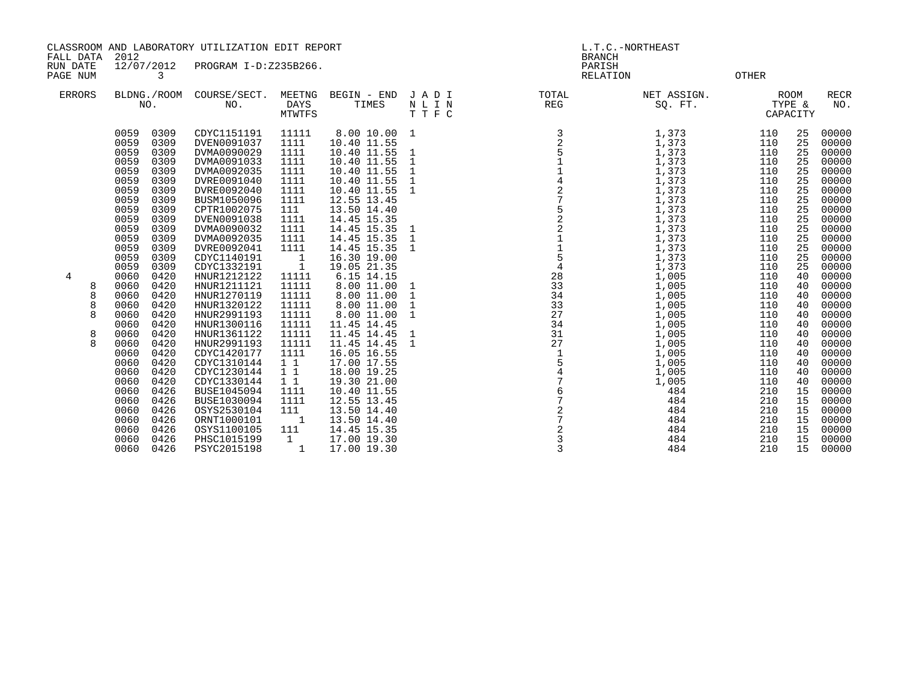CLASSROOM AND LABORATORY UTILIZATION EDIT REPORT AND REPORT STATES AND L.T.C. -NORTHEAST

FALL DATA 2012 BRANCH

RUN DATE 12/07/2012 PROGRAM I-D:Z235B266.<br>PAGENUM 3 PAGE NUM 3 RELATION OTHER

| <b>ERRORS</b> |   |              | NO.          | BLDNG./ROOM COURSE/SECT.<br>NO. | MEETNG<br><b>DAYS</b><br>MTWTFS | BEGIN - END<br>TIMES       | JADI<br>N L I N<br>TTFC | TOTAL<br>REG   | NET ASSIGN.<br>SO. FT. |            | <b>ROOM</b><br>TYPE &<br>CAPACITY | <b>RECR</b><br>NO. |
|---------------|---|--------------|--------------|---------------------------------|---------------------------------|----------------------------|-------------------------|----------------|------------------------|------------|-----------------------------------|--------------------|
|               |   | 0059<br>0059 | 0309<br>0309 | CDYC1151191<br>DVEN0091037      | 11111<br>1111                   | 8.00 10.00<br>10.40 11.55  | 1                       |                | 1,373<br>1,373         | 110<br>110 | 25<br>25                          | 00000<br>00000     |
|               |   | 0059<br>0059 | 0309<br>0309 | DVMA0090029<br>DVMA0091033      | 1111<br>1111                    | 10.40 11.55<br>10.40 11.55 | 1<br>1                  |                | 1,373<br>1,373         | 110<br>110 | 25<br>25                          | 00000<br>00000     |
|               |   | 0059         | 0309         | DVMA0092035                     | 1111                            | 10.40 11.55                | 1                       |                | 1,373                  | 110        | 25                                | 00000              |
|               |   | 0059         | 0309         | DVRE0091040                     | 1111                            | 10.40 11.55                | 1                       |                | 1,373                  | 110        | 25                                | 00000              |
|               |   | 0059         | 0309         | DVRE0092040                     | 1111                            | 10.40 11.55                | 1                       | $\overline{a}$ | 1,373                  | 110        | 25                                | 00000              |
|               |   | 0059         | 0309         | BUSM1050096                     | 1111                            | 12.55 13.45                |                         |                | 1,373                  | 110        | 25                                | 00000              |
|               |   | 0059         | 0309         | CPTR1002075                     | 111                             | 13.50 14.40                |                         |                | 1,373                  | 110        | 25                                | 00000              |
|               |   | 0059         | 0309         | DVEN0091038                     | 1111                            | 14.45 15.35                |                         | $\overline{a}$ | 1,373                  | 110        | 25                                | 00000              |
|               |   | 0059         | 0309         | DVMA0090032                     | 1111                            | 14.45 15.35                | 1                       |                | 1,373                  | 110        | 25                                | 00000              |
|               |   | 0059         | 0309         | DVMA0092035                     | 1111                            | 14.45 15.35                | $\mathbf{1}$            |                | 1,373                  | 110        | 25                                | 00000              |
|               |   | 0059         | 0309         | DVRE0092041                     | 1111                            | 14.45 15.35                | 1                       | $\frac{1}{5}$  | 1,373                  | 110        | 25                                | 00000              |
|               |   | 0059         | 0309         | CDYC1140191                     | $\overline{\phantom{a}}$        | 16.30 19.00                |                         |                | 1,373                  | 110        | 25                                | 00000              |
|               |   | 0059         | 0309         | CDYC1332191                     | $\overline{1}$                  | 19.05 21.35                |                         | $\overline{4}$ | 1,373                  | 110        | 25                                | 00000              |
| 4             |   | 0060         | 0420         | HNUR1212122                     | 11111                           | 6.15 14.15                 |                         | 28             | 1,005                  | 110        | 40                                | 00000              |
|               |   | 0060         | 0420         | HNUR1211121                     | 11111                           | 8.00 11.00                 | $\mathbf{1}$            | 33             | 1,005                  | 110        | 40                                | 00000              |
|               |   | 0060         | 0420         | HNUR1270119                     | 11111                           | 8.00 11.00                 | $\mathbf 1$             | 34             | 1,005                  | 110        | 40                                | 00000              |
|               | 8 | 0060         | 0420         | HNUR1320122                     | 11111                           | 8.00 11.00                 | $\mathbf{1}$            | 33             | 1,005                  | 110        | 40                                | 00000              |
|               | 8 | 0060         | 0420         | HNUR2991193                     | 11111                           | 8.00 11.00                 | 1                       | 27             | 1,005                  | 110        | 40                                | 00000              |
|               |   | 0060         | 0420         | HNUR1300116                     | 11111                           | 11.45 14.45                |                         | 34             | 1,005                  | 110        | 40                                | 00000              |
|               | 8 | 0060         | 0420         | HNUR1361122                     | 11111                           | 11.45 14.45                | 1                       | 31             | 1,005                  | 110        | 40                                | 00000              |
|               | 8 | 0060         | 0420         | HNUR2991193                     | 11111                           | 11.45 14.45                | 1                       | 27             | 1,005                  | 110        | 40                                | 00000              |
|               |   | 0060         | 0420         | CDYC1420177                     | 1111                            | 16.05 16.55                |                         |                | 1,005                  | 110        | 40                                | 00000              |
|               |   | 0060         | 0420         | CDYC1310144                     | $1\quad1$                       | 17.00 17.55                |                         |                | 1,005                  | 110        | 40                                | 00000              |
|               |   | 0060         | 0420         | CDYC1230144                     | $1\quad1$                       | 18.00 19.25                |                         |                | 1,005                  | 110        | 40                                | 00000              |
|               |   | 0060         | 0420         | CDYC1330144                     | $1\quad1$                       | 19.30 21.00                |                         |                | 1,005                  | 110        | 40                                | 00000              |
|               |   | 0060         | 0426         | <b>BUSE1045094</b>              | 1111                            | 10.40 11.55                |                         | 7              | 484                    | 210        | 15                                | 00000              |
|               |   | 0060         | 0426         | <b>BUSE1030094</b>              | 1111                            | 12.55 13.45                |                         |                | 484                    | 210        | 15                                | 00000              |
|               |   | 0060         | 0426         | OSYS2530104                     | 111                             | 13.50 14.40                |                         | 7              | 484                    | 210        | 15                                | 00000              |
|               |   | 0060<br>0060 | 0426<br>0426 | ORNT1000101<br>OSYS1100105      | $\overline{\phantom{a}}$        | 13.50 14.40                |                         |                | 484<br>484             | 210<br>210 | 15<br>15                          | 00000<br>00000     |
|               |   | 0060         | 0426         | PHSC1015199                     | 111<br>$\mathbf{1}$             | 14.45 15.35                |                         | 3              | 484                    | 210        | 15                                | 00000              |
|               |   | 0060         | 0426         | PSYC2015198                     |                                 | 17.00 19.30<br>17.00 19.30 |                         | 3              | 484                    | 210        | 15                                | 00000              |
|               |   |              |              |                                 |                                 |                            |                         |                |                        |            |                                   |                    |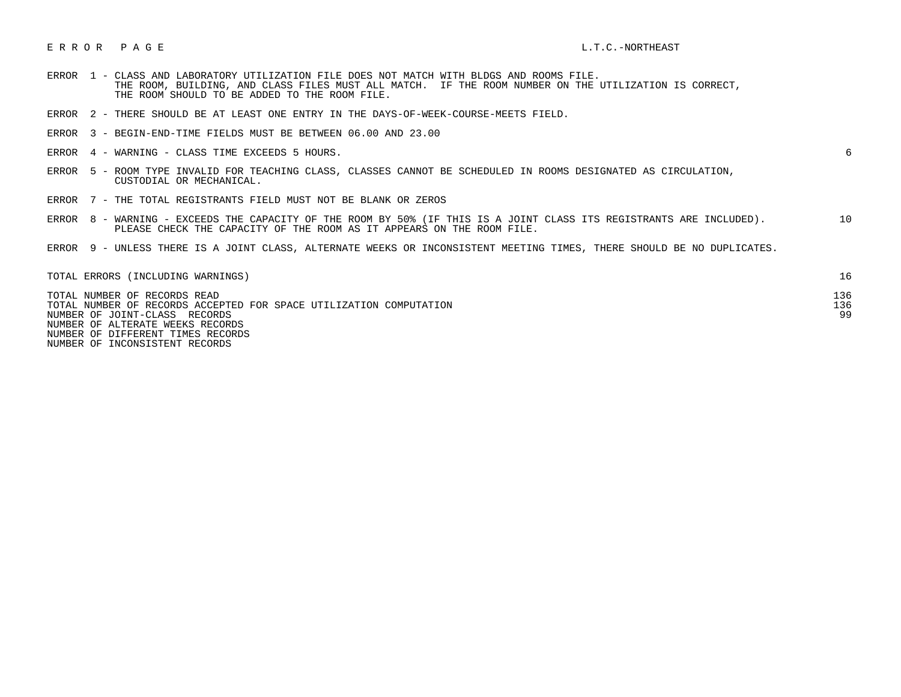## E R R O R P A G E L.T.C.-NORTHEAST

- ERROR 1 CLASS AND LABORATORY UTILIZATION FILE DOES NOT MATCH WITH BLDGS AND ROOMS FILE. THE ROOM, BUILDING, AND CLASS FILES MUST ALL MATCH. IF THE ROOM NUMBER ON THE UTILIZATION IS CORRECT, THE ROOM SHOULD TO BE ADDED TO THE ROOM FILE.
- ERROR 2 THERE SHOULD BE AT LEAST ONE ENTRY IN THE DAYS-OF-WEEK-COURSE-MEETS FIELD.
- ERROR 3 BEGIN-END-TIME FIELDS MUST BE BETWEEN 06.00 AND 23.00
- ERROR 4 WARNING CLASS TIME EXCEEDS 5 HOURS. 6

- ERROR 5 ROOM TYPE INVALID FOR TEACHING CLASS, CLASSES CANNOT BE SCHEDULED IN ROOMS DESIGNATED AS CIRCULATION, CUSTODIAL OR MECHANICAL.
- ERROR 7 THE TOTAL REGISTRANTS FIELD MUST NOT BE BLANK OR ZEROS
- ERROR 8 WARNING EXCEEDS THE CAPACITY OF THE ROOM BY 50% (IF THIS IS A JOINT CLASS ITS REGISTRANTS ARE INCLUDED). 10 PLEASE CHECK THE CAPACITY OF THE ROOM AS IT APPEARS ON THE ROOM FILE.
- ERROR 9 UNLESS THERE IS A JOINT CLASS, ALTERNATE WEEKS OR INCONSISTENT MEETING TIMES, THERE SHOULD BE NO DUPLICATES.

| TOTAL ERRORS (INCLUDING WARNINGS)                                  |     |
|--------------------------------------------------------------------|-----|
| TOTAL NUMBER OF RECORDS READ                                       | 136 |
| TOTAL NUMBER OF RECORDS ACCEPTED FOR SPACE UTILIZATION COMPUTATION | 136 |
| NUMBER OF JOINT-CLASS RECORDS                                      | 99  |
| NUMBER OF ALTERATE WEEKS RECORDS                                   |     |
| NUMBER OF DIFFERENT TIMES RECORDS                                  |     |

NUMBER OF INCONSISTENT RECORDS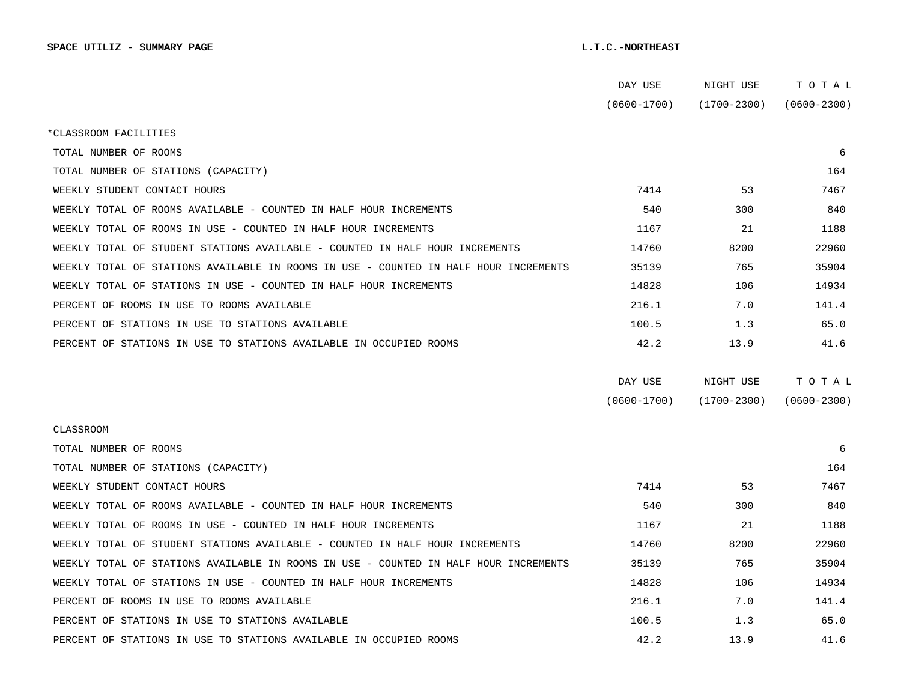|                                                                                      | DAY USE         | NIGHT USE       | TOTAL           |
|--------------------------------------------------------------------------------------|-----------------|-----------------|-----------------|
|                                                                                      | $(0600 - 1700)$ | $(1700 - 2300)$ | $(0600 - 2300)$ |
| *CLASSROOM FACILITIES                                                                |                 |                 |                 |
| TOTAL NUMBER OF ROOMS                                                                |                 |                 | 6               |
| TOTAL NUMBER OF STATIONS (CAPACITY)                                                  |                 |                 | 164             |
| WEEKLY STUDENT CONTACT HOURS                                                         | 7414            | 53              | 7467            |
| WEEKLY TOTAL OF ROOMS AVAILABLE - COUNTED IN HALF HOUR INCREMENTS                    | 540             | 300             | 840             |
| WEEKLY TOTAL OF ROOMS IN USE - COUNTED IN HALF HOUR INCREMENTS                       | 1167            | 21              | 1188            |
| WEEKLY TOTAL OF STUDENT STATIONS AVAILABLE - COUNTED IN HALF HOUR INCREMENTS         | 14760           | 8200            | 22960           |
| WEEKLY TOTAL OF STATIONS AVAILABLE IN ROOMS IN USE - COUNTED IN HALF HOUR INCREMENTS | 35139           | 765             | 35904           |
| WEEKLY TOTAL OF STATIONS IN USE - COUNTED IN HALF HOUR INCREMENTS                    | 14828           | 106             | 14934           |
| PERCENT OF ROOMS IN USE TO ROOMS AVAILABLE                                           | 216.1           | 7.0             | 141.4           |
| PERCENT OF STATIONS IN USE TO STATIONS AVAILABLE                                     | 100.5           | 1.3             | 65.0            |
| PERCENT OF STATIONS IN USE TO STATIONS AVAILABLE IN OCCUPIED ROOMS                   | 42.2            | 13.9            | 41.6            |
|                                                                                      |                 |                 |                 |
|                                                                                      | DAY USE         | NIGHT USE       | TOTAL           |
|                                                                                      | $(0600 - 1700)$ | $(1700 - 2300)$ | $(0600 - 2300)$ |
| <b>CLASSROOM</b>                                                                     |                 |                 |                 |
| TOTAL NUMBER OF ROOMS                                                                |                 |                 | 6               |
| TOTAL NUMBER OF STATIONS (CAPACITY)                                                  |                 |                 | 164             |
| WEEKLY STUDENT CONTACT HOURS                                                         | 7414            | 53              | 7467            |
| WEEKLY TOTAL OF ROOMS AVAILABLE - COUNTED IN HALF HOUR INCREMENTS                    | 540             | 300             | 840             |
| WEEKLY TOTAL OF ROOMS IN USE - COUNTED IN HALF HOUR INCREMENTS                       | 1167            | 21              | 1188            |
| WEEKLY TOTAL OF STUDENT STATIONS AVAILABLE - COUNTED IN HALF HOUR INCREMENTS         | 14760           | 8200            | 22960           |
| WEEKLY TOTAL OF STATIONS AVAILABLE IN ROOMS IN USE - COUNTED IN HALF HOUR INCREMENTS | 35139           | 765             | 35904           |
| WEEKLY TOTAL OF STATIONS IN USE - COUNTED IN HALF HOUR INCREMENTS                    | 14828           | 106             | 14934           |
| PERCENT OF ROOMS IN USE TO ROOMS AVAILABLE                                           | 216.1           | 7.0             | 141.4           |
| PERCENT OF STATIONS IN USE TO STATIONS AVAILABLE                                     | 100.5           | 1.3             | 65.0            |
| PERCENT OF STATIONS IN USE TO STATIONS AVAILABLE IN OCCUPIED ROOMS                   | 42.2            | 13.9            | 41.6            |